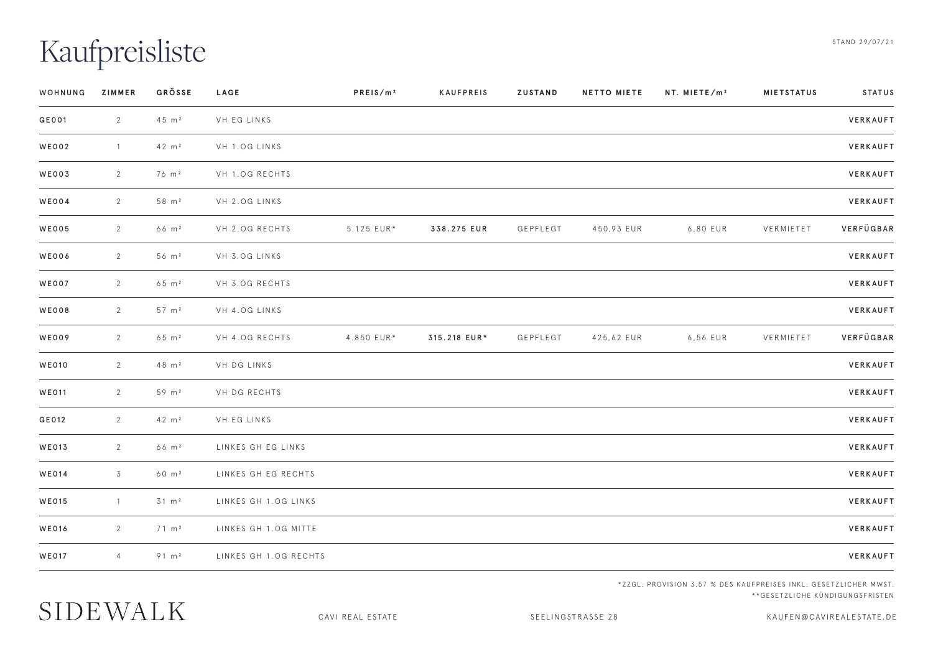## Kaufpreisliste

| WOHNUNG      | ZIMMER         | GROSSE            | LAGE                  | PREIS/m <sup>2</sup> | KAUFPREIS    | ZUSTAND  | <b>NETTO MIETE</b> | NT. MIETE/m <sup>2</sup> | <b>MIETSTATUS</b> | STATUS    |
|--------------|----------------|-------------------|-----------------------|----------------------|--------------|----------|--------------------|--------------------------|-------------------|-----------|
| GE001        | $\overline{2}$ | 45 m <sup>2</sup> | VH EG LINKS           |                      |              |          |                    |                          |                   | VERKAUFT  |
| <b>WE002</b> | $\overline{1}$ | 42 m <sup>2</sup> | VH 1.0G LINKS         |                      |              |          |                    |                          |                   | VERKAUFT  |
| WE003        | 2              | 76 m <sup>2</sup> | VH 1.0G RECHTS        |                      |              |          |                    |                          |                   | VERKAUFT  |
| <b>WE004</b> | $\overline{2}$ | $58 \text{ m}^2$  | VH 2.OG LINKS         |                      |              |          |                    |                          |                   | VERKAUFT  |
| <b>WE005</b> | $\overline{2}$ | 66 m <sup>2</sup> | VH 2.OG RECHTS        | 5.125 EUR*           | 338.275 EUR  | GEPFLEGT | 450,93 EUR         | 6,80 EUR                 | VERMIETET         | VERFÜGBAR |
| <b>WE006</b> | $\overline{2}$ | $56 \text{ m}^2$  | VH 3.0G LINKS         |                      |              |          |                    |                          |                   | VERKAUFT  |
| <b>WE007</b> | $\overline{2}$ | $65 \, m^2$       | VH 3.0G RECHTS        |                      |              |          |                    |                          |                   | VERKAUFT  |
| <b>WE008</b> | $\overline{2}$ | $57 \text{ m}^2$  | VH 4.0G LINKS         |                      |              |          |                    |                          |                   | VERKAUFT  |
| WE009        | $\overline{2}$ | 65 m <sup>2</sup> | VH 4.OG RECHTS        | 4.850 EUR*           | 315.218 EUR* | GEPFLEGT | 425,62 EUR         | 6,56 EUR                 | VERMIETET         | VERFÜGBAR |
| <b>WE010</b> | $\overline{2}$ | 48 m <sup>2</sup> | VH DG LINKS           |                      |              |          |                    |                          |                   | VERKAUFT  |
| <b>WE011</b> | 2              | 59 m <sup>2</sup> | VH DG RECHTS          |                      |              |          |                    |                          |                   | VERKAUFT  |
| GE012        | 2              | 42 m <sup>2</sup> | VH EG LINKS           |                      |              |          |                    |                          |                   | VERKAUFT  |
| <b>WE013</b> | 2              | 66 m <sup>2</sup> | LINKES GH EG LINKS    |                      |              |          |                    |                          |                   | VERKAUFT  |
| <b>WE014</b> | $\overline{3}$ | 60 m <sup>2</sup> | LINKES GH EG RECHTS   |                      |              |          |                    |                          |                   | VERKAUFT  |
| WE015        | $\overline{1}$ | $31 \, m2$        | LINKES GH 1.0G LINKS  |                      |              |          |                    |                          |                   | VERKAUFT  |
| <b>WE016</b> | $\overline{2}$ | $71 \text{ m}^2$  | LINKES GH 1.OG MITTE  |                      |              |          |                    |                          |                   | VERKAUFT  |
| <b>WE017</b> | $\overline{4}$ | $91 \, m2$        | LINKES GH 1.OG RECHTS |                      |              |          |                    |                          |                   | VERKAUFT  |
|              |                |                   |                       |                      |              |          |                    |                          |                   |           |

\*ZZGL. PROVISION 3,57 % DES KAUFPREISES INKL. GESETZLICHER MWST. \*\*GESETZLICHE KÜNDIGUNGSFRISTEN

CAVI REAL ESTATE SEELINGSTRASSE 28 KAUFEN@CAVIREALESTATE.DE

SIDEWALK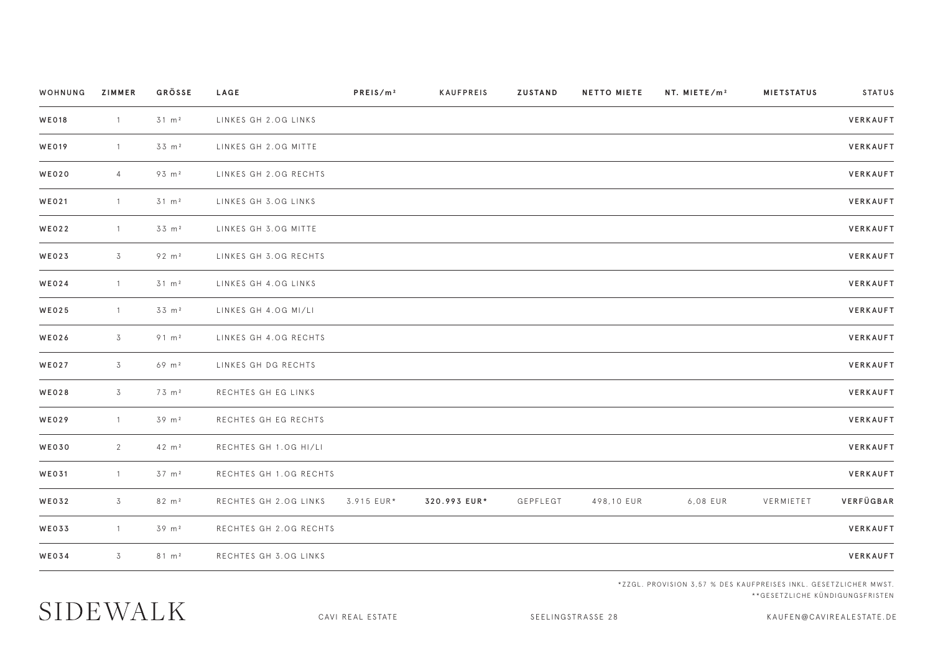| WOHNUNG      | ZIMMER         | GRÖSSE            | <b>LAGE</b>            | PREIS/m <sup>2</sup> | KAUFPREIS    | <b>ZUSTAND</b> | <b>NETTO MIETE</b> | NT. MIETE/m <sup>2</sup> | <b>MIETSTATUS</b> | STATUS    |
|--------------|----------------|-------------------|------------------------|----------------------|--------------|----------------|--------------------|--------------------------|-------------------|-----------|
| <b>WE018</b> | $\overline{1}$ | 31 m <sup>2</sup> | LINKES GH 2.OG LINKS   |                      |              |                |                    |                          |                   | VERKAUFT  |
| <b>WE019</b> | $\overline{1}$ | 33 m <sup>2</sup> | LINKES GH 2.OG MITTE   |                      |              |                |                    |                          |                   | VERKAUFT  |
| <b>WE020</b> | $\overline{4}$ | 93 m <sup>2</sup> | LINKES GH 2.OG RECHTS  |                      |              |                |                    |                          |                   | VERKAUFT  |
| <b>WE021</b> | $\overline{1}$ | 31 m <sup>2</sup> | LINKES GH 3.OG LINKS   |                      |              |                |                    |                          |                   | VERKAUFT  |
| <b>WE022</b> | $\overline{1}$ | $33 \text{ m}^2$  | LINKES GH 3.OG MITTE   |                      |              |                |                    |                          |                   | VERKAUFT  |
| <b>WE023</b> | 3              | 92 m <sup>2</sup> | LINKES GH 3.OG RECHTS  |                      |              |                |                    |                          |                   | VERKAUFT  |
| <b>WE024</b> | $\overline{1}$ | $31 \text{ m}^2$  | LINKES GH 4.OG LINKS   |                      |              |                |                    |                          |                   | VERKAUFT  |
| WE025        | $\overline{1}$ | 33 m <sup>2</sup> | LINKES GH 4.OG MI/LI   |                      |              |                |                    |                          |                   | VERKAUFT  |
| WE026        | $\overline{3}$ | $91 \, m^2$       | LINKES GH 4.OG RECHTS  |                      |              |                |                    |                          |                   | VERKAUFT  |
| <b>WE027</b> | 3              | $69 \, m^2$       | LINKES GH DG RECHTS    |                      |              |                |                    |                          |                   | VERKAUFT  |
| <b>WE028</b> | $\overline{3}$ | 73 m <sup>2</sup> | RECHTES GH EG LINKS    |                      |              |                |                    |                          |                   | VERKAUFT  |
| <b>WE029</b> | $\overline{1}$ | 39 m <sup>2</sup> | RECHTES GH EG RECHTS   |                      |              |                |                    |                          |                   | VERKAUFT  |
| <b>WE030</b> | 2              | 42 m <sup>2</sup> | RECHTES GH 1.0G HI/LI  |                      |              |                |                    |                          |                   | VERKAUFT  |
| <b>WE031</b> | $\overline{1}$ | 37 m <sup>2</sup> | RECHTES GH 1.OG RECHTS |                      |              |                |                    |                          |                   | VERKAUFT  |
| WE032        | $\overline{3}$ | $82 \text{ m}^2$  | RECHTES GH 2.OG LINKS  | 3.915 EUR*           | 320.993 EUR* | GEPFLEGT       | 498,10 EUR         | 6,08 EUR                 | VERMIETET         | VERFÜGBAR |
| WE033        | $\overline{1}$ | 39 m <sup>2</sup> | RECHTES GH 2.OG RECHTS |                      |              |                |                    |                          |                   | VERKAUFT  |
| <b>WE034</b> | 3              | $81 \text{ m}^2$  | RECHTES GH 3.OG LINKS  |                      |              |                |                    |                          |                   | VERKAUFT  |
|              |                |                   |                        |                      |              |                |                    |                          |                   |           |

\*ZZGL. PROVISION 3,57 % DES KAUFPREISES INKL. GESETZLICHER MWST. \*\*GESETZLICHE KÜNDIGUNGSFRISTEN

SIDEWALK

CAVI REAL ESTATE SEELINGSTRASSE 28 KAUFEN@CAVIREALESTATE.DE